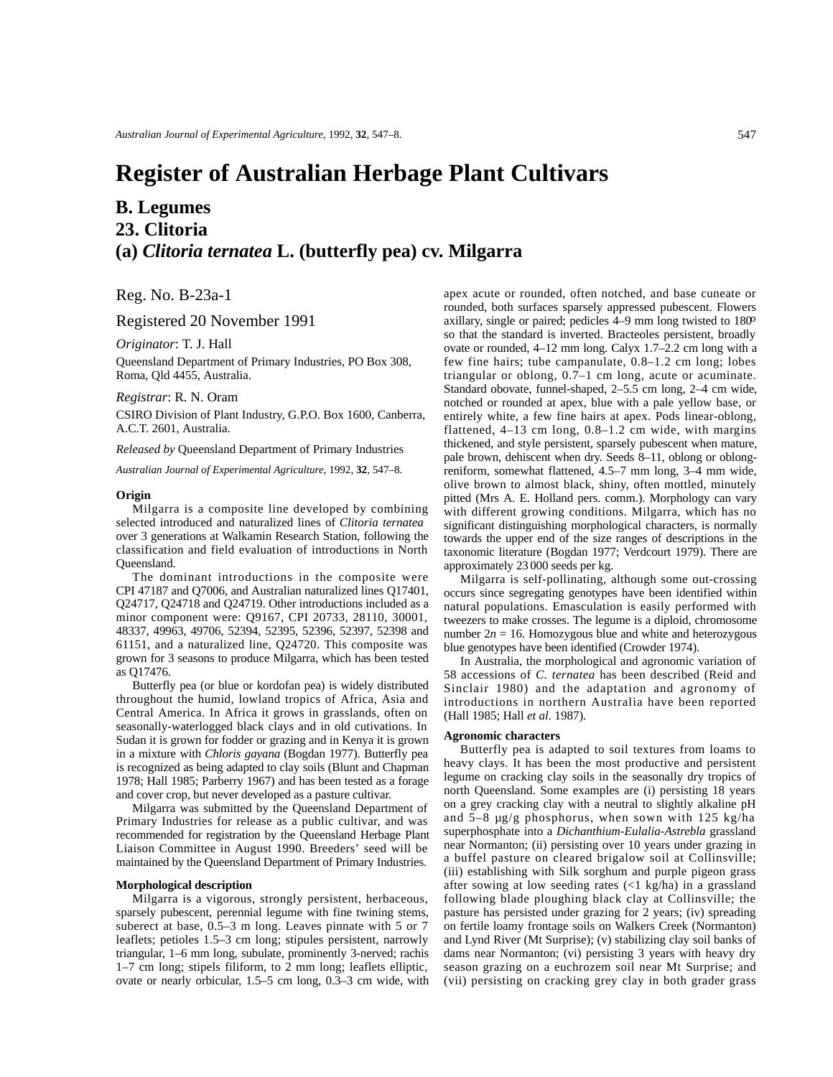# **Register of Australian Herbage Plant Cultivars**

# **B. Legumes 23. Clitoria (a)** *Clitoria ternatea* **L. (butterfly pea) cv. Milgarra**

Reg. No. B-23a-1

Registered 20 November 1991

*Originator*: T. J. Hall

Queensland Department of Primary Industries, PO Box 308, Roma, Qld 4455, Australia.

### *Registrar*: R. N. Oram

CSIRO Division of Plant Industry, G.P.O. Box 1600, Canberra, A.C.T. 2601, Australia.

*Released by* Queensland Department of Primary Industries

*Australian Journal of Experimental Agriculture*, 1992, **32**, 547–8.

#### **Origin**

Milgarra is a composite line developed by combining selected introduced and naturalized lines of *Clitoria ternatea* over 3 generations at Walkamin Research Station, following the classification and field evaluation of introductions in North Queensland.

The dominant introductions in the composite were CPI 47187 and Q7006, and Australian naturalized lines Q17401, Q24717, Q24718 and Q24719. Other introductions included as a minor component were: Q9167, CPI 20733, 28110, 30001, 48337, 49963, 49706, 52394, 52395, 52396, 52397, 52398 and 61151, and a naturalized line, Q24720. This composite was grown for 3 seasons to produce Milgarra, which has been tested as Q17476.

Butterfly pea (or blue or kordofan pea) is widely distributed throughout the humid, lowland tropics of Africa, Asia and Central America. In Africa it grows in grasslands, often on seasonally-waterlogged black clays and in old cutivations. In Sudan it is grown for fodder or grazing and in Kenya it is grown in a mixture with *Chloris gayana* (Bogdan 1977). Butterfly pea is recognized as being adapted to clay soils (Blunt and Chapman 1978; Hall 1985; Parberry 1967) and has been tested as a forage and cover crop, but never developed as a pasture cultivar.

Milgarra was submitted by the Queensland Department of Primary Industries for release as a public cultivar, and was recommended for registration by the Queensland Herbage Plant Liaison Committee in August 1990. Breeders' seed will be maintained by the Queensland Department of Primary Industries.

#### **Morphological description**

Milgarra is a vigorous, strongly persistent, herbaceous, sparsely pubescent, perennial legume with fine twining stems, suberect at base, 0.5–3 m long. Leaves pinnate with 5 or 7 leaflets; petioles 1.5–3 cm long; stipules persistent, narrowly triangular, 1–6 mm long, subulate, prominently 3-nerved; rachis 1–7 cm long; stipels filiform, to 2 mm long; leaflets elliptic, ovate or nearly orbicular, 1.5–5 cm long, 0.3–3 cm wide, with

apex acute or rounded, often notched, and base cuneate or rounded, both surfaces sparsely appressed pubescent. Flowers axillary, single or paired; pedicles  $4-9$  mm long twisted to  $180^{\circ}$ so that the standard is inverted. Bracteoles persistent, broadly ovate or rounded, 4–12 mm long. Calyx 1.7–2.2 cm long with a few fine hairs; tube campanulate, 0.8–1.2 cm long; lobes triangular or oblong, 0.7–1 cm long, acute or acuminate. Standard obovate, funnel-shaped, 2–5.5 cm long, 2–4 cm wide, notched or rounded at apex, blue with a pale yellow base, or entirely white, a few fine hairs at apex. Pods linear-oblong, flattened, 4–13 cm long, 0.8–1.2 cm wide, with margins thickened, and style persistent, sparsely pubescent when mature, pale brown, dehiscent when dry. Seeds 8–11, oblong or oblongreniform, somewhat flattened, 4.5–7 mm long, 3–4 mm wide, olive brown to almost black, shiny, often mottled, minutely pitted (Mrs A. E. Holland pers. comm.). Morphology can vary with different growing conditions. Milgarra, which has no significant distinguishing morphological characters, is normally towards the upper end of the size ranges of descriptions in the taxonomic literature (Bogdan 1977; Verdcourt 1979). There are approximately 23 000 seeds per kg.

Milgarra is self-pollinating, although some out-crossing occurs since segregating genotypes have been identified within natural populations. Emasculation is easily performed with tweezers to make crosses. The legume is a diploid, chromosome number  $2n = 16$ . Homozygous blue and white and heterozygous blue genotypes have been identified (Crowder 1974).

In Australia, the morphological and agronomic variation of 58 accessions of *C. ternatea* has been described (Reid and Sinclair 1980) and the adaptation and agronomy of introductions in northern Australia have been reported (Hall 1985; Hall *et al*. 1987).

## **Agronomic characters**

Butterfly pea is adapted to soil textures from loams to heavy clays. It has been the most productive and persistent legume on cracking clay soils in the seasonally dry tropics of north Queensland. Some examples are (i) persisting 18 years on a grey cracking clay with a neutral to slightly alkaline pH and 5–8 µg/g phosphorus, when sown with 125 kg/ha superphosphate into a *Dichanthium-Eulalia-Astrebla* grassland near Normanton; (ii) persisting over 10 years under grazing in a buffel pasture on cleared brigalow soil at Collinsville; (iii) establishing with Silk sorghum and purple pigeon grass after sowing at low seeding rates  $\left(\langle 1 \rangle \langle \mathbf{k} | g \rangle \right)$  in a grassland following blade ploughing black clay at Collinsville; the pasture has persisted under grazing for 2 years; (iv) spreading on fertile loamy frontage soils on Walkers Creek (Normanton) and Lynd River (Mt Surprise); (v) stabilizing clay soil banks of dams near Normanton; (vi) persisting 3 years with heavy dry season grazing on a euchrozem soil near Mt Surprise; and (vii) persisting on cracking grey clay in both grader grass